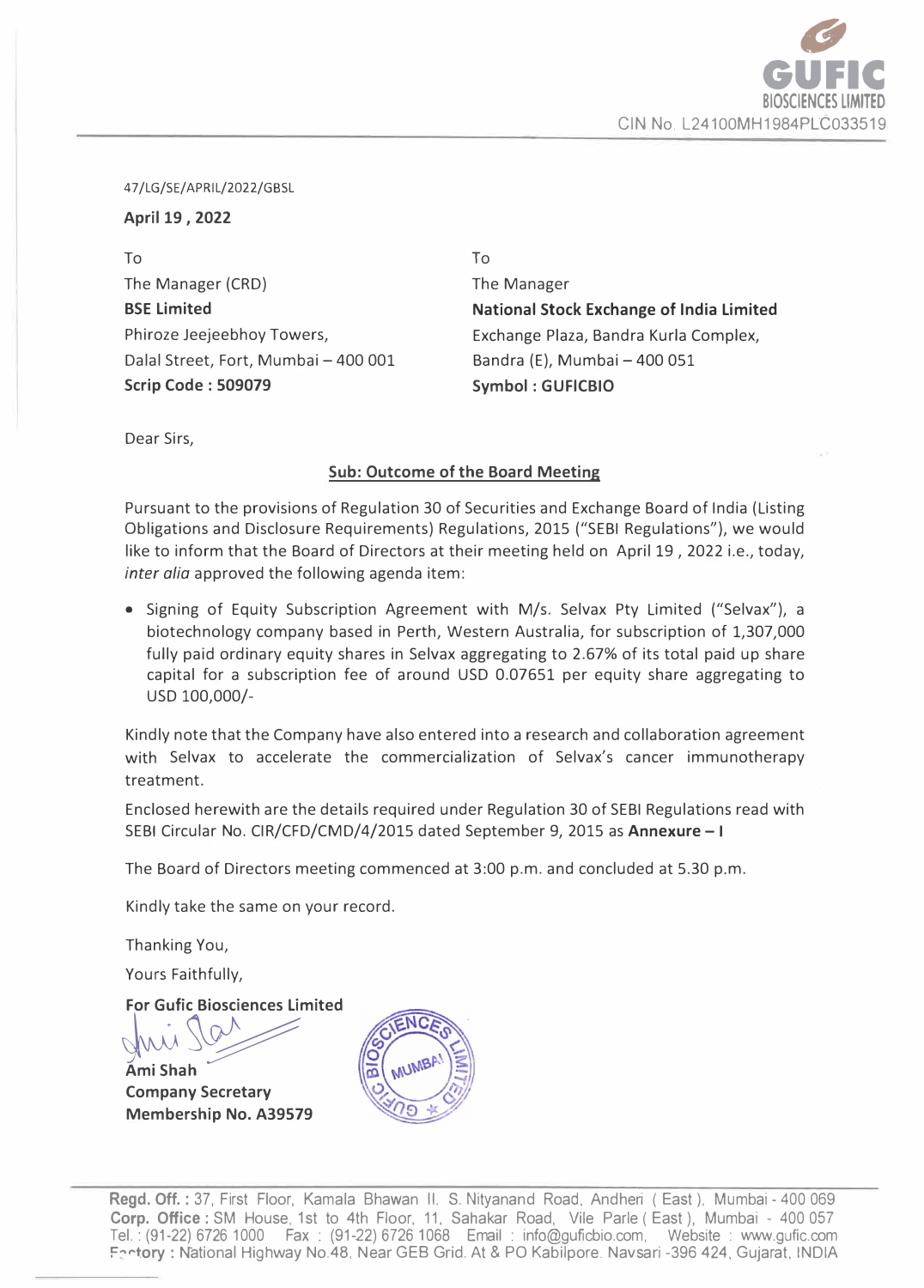

47 /LG/SE/ APRIL/2022/GBSL

**April 19, 2022** 

To The Manager (CRD) **BSE Limited**  Phiroze Jeejeebhoy Towers, Dalal Street, Fort, Mumbai - 400 001 **Scrip Code : 509079** 

To The Manager **National Stock Exchange of India Limited**  Exchange Plaza, Sandra Kurla Complex, Bandra (E), Mumbai - 400 051 **Symbol : GUFICBIO** 

Dear Sirs,

## **Sub: Outcome of the Board Meeting**

Pursuant to the provisions of Regulation 30 of Securities and Exchange Board of India (Listing Obligations and Disclosure Requirements) Regulations, 2015 ("SEBI Regulations"), we would like to inform that the Board of Directors at their meeting held on April 19 , 2022 i.e., today, *inter alia* approved the following agenda item:

• Signing of Equity Subscription Agreement with M/s. Selvax Pty Limited ("Selvax"), a biotechnology company based in Perth, Western Australia, for subscription of 1,307,000 fully paid ordinary equity shares in Selvax aggregating to 2.67% of its total paid up share capital for a subscription fee of around USO 0.07651 per equity share aggregating to USO 100,000/-

Kindly note that the Company have also entered into a research and collaboration agreement with Selvax to accelerate the commercialization of Selvax's cancer immunotherapy treatment.

Enclosed herewith are the details required under Regulation 30 of SEBI Regulations read with SEBI Circular No. CIR/CFD/CMD/4/2015 dated September 9, 2015 as **Annexure** - I

The Board of Directors meeting commenced at 3:00 p.m. and concluded at 5.30 p.m.

Kindly take the same on your record.

Thanking You,

Yours Faithfully,

**For Gufic Biosciences Limited** 

�� **Ami Shah Company Secretary Membership No. A39579** 

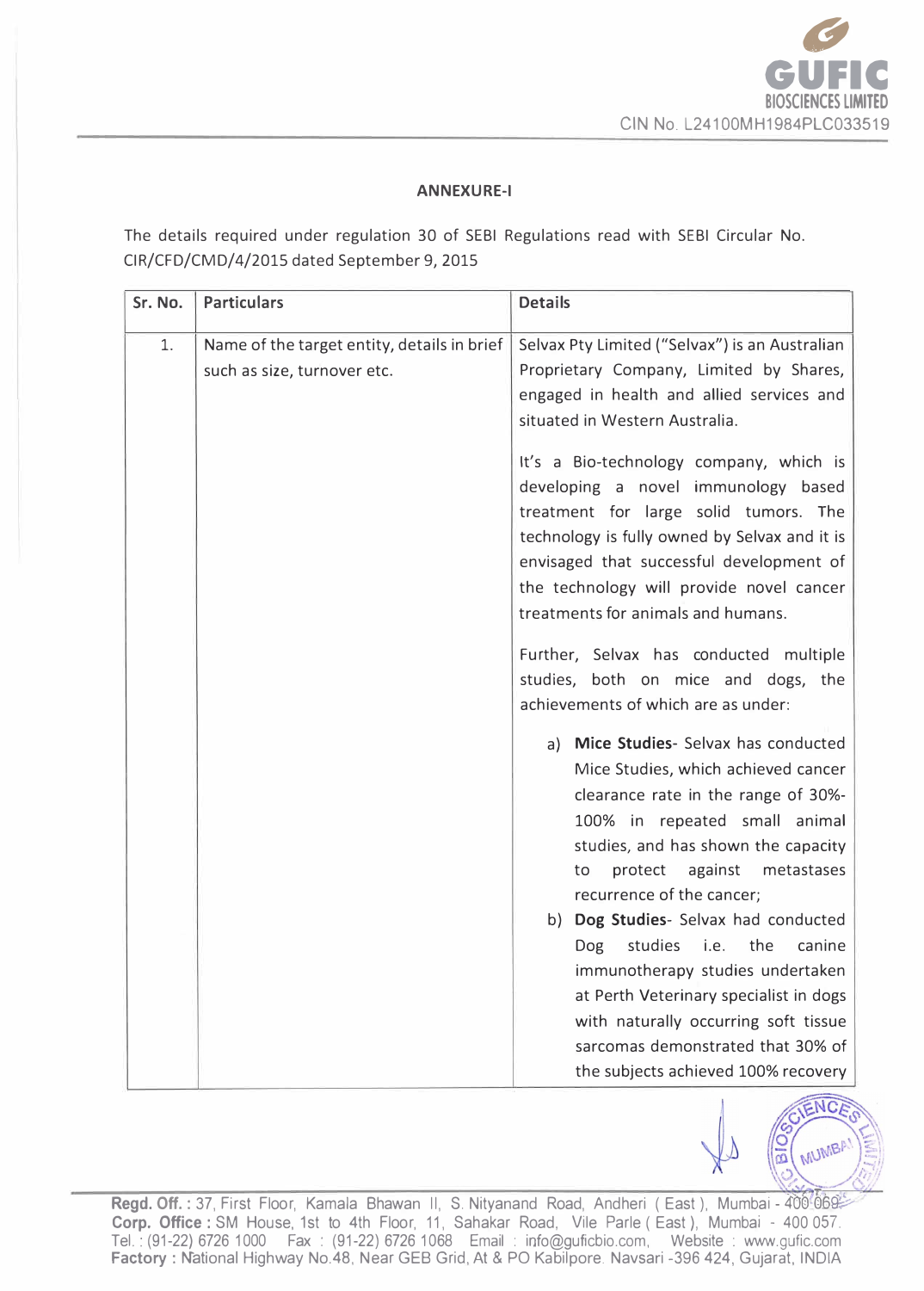

## **ANNEXURE-1**

**The details required under regulation 30 of SEBI Regulations read with SEBI Circular No. CIR/CFD/CMD/4/2015 dated September 9, 2015** 

| Sr. No. | <b>Particulars</b>                                                         | <b>Details</b>                                                                                                                                                                                                                                                                                                                               |
|---------|----------------------------------------------------------------------------|----------------------------------------------------------------------------------------------------------------------------------------------------------------------------------------------------------------------------------------------------------------------------------------------------------------------------------------------|
| 1.      | Name of the target entity, details in brief<br>such as size, turnover etc. | Selvax Pty Limited ("Selvax") is an Australian<br>Proprietary Company, Limited by Shares,<br>engaged in health and allied services and<br>situated in Western Australia.                                                                                                                                                                     |
|         |                                                                            | It's a Bio-technology company, which is<br>developing a novel immunology based<br>treatment for large solid tumors. The<br>technology is fully owned by Selvax and it is<br>envisaged that successful development of<br>the technology will provide novel cancer<br>treatments for animals and humans.                                       |
|         |                                                                            | Further, Selvax has conducted multiple<br>studies, both on mice and dogs, the<br>achievements of which are as under:                                                                                                                                                                                                                         |
|         |                                                                            | a) Mice Studies- Selvax has conducted<br>Mice Studies, which achieved cancer<br>clearance rate in the range of 30%-<br>100% in repeated small animal<br>studies, and has shown the capacity<br>protect<br>against metastases<br>to<br>recurrence of the cancer;<br>b) Dog Studies- Selvax had conducted<br>studies i.e. the<br>Dog<br>canine |
|         |                                                                            | immunotherapy studies undertaken<br>at Perth Veterinary specialist in dogs<br>with naturally occurring soft tissue<br>sarcomas demonstrated that 30% of<br>the subjects achieved 100% recovery                                                                                                                                               |



Regd. Off.: 37, First Floor, Kamala Bhawan II, S. Nityanand Road, Andheri (East), Mumbai - 400-069 **Corp. Office: SM House, 1st to 4th Floor, 11, Sahakar Road, Vile Parle (East ), Mumbai - 400 057. Tel.: (91-22) 6726 1000 Fax : (91-22) 6726 1068 Email : info@guficbio.com, Website : www.gufic.com Factory : N"ational Highway No.48, Near GEB Grid, At & PO Kabilpore. Navsari -396 424, Gujarat, INDIA**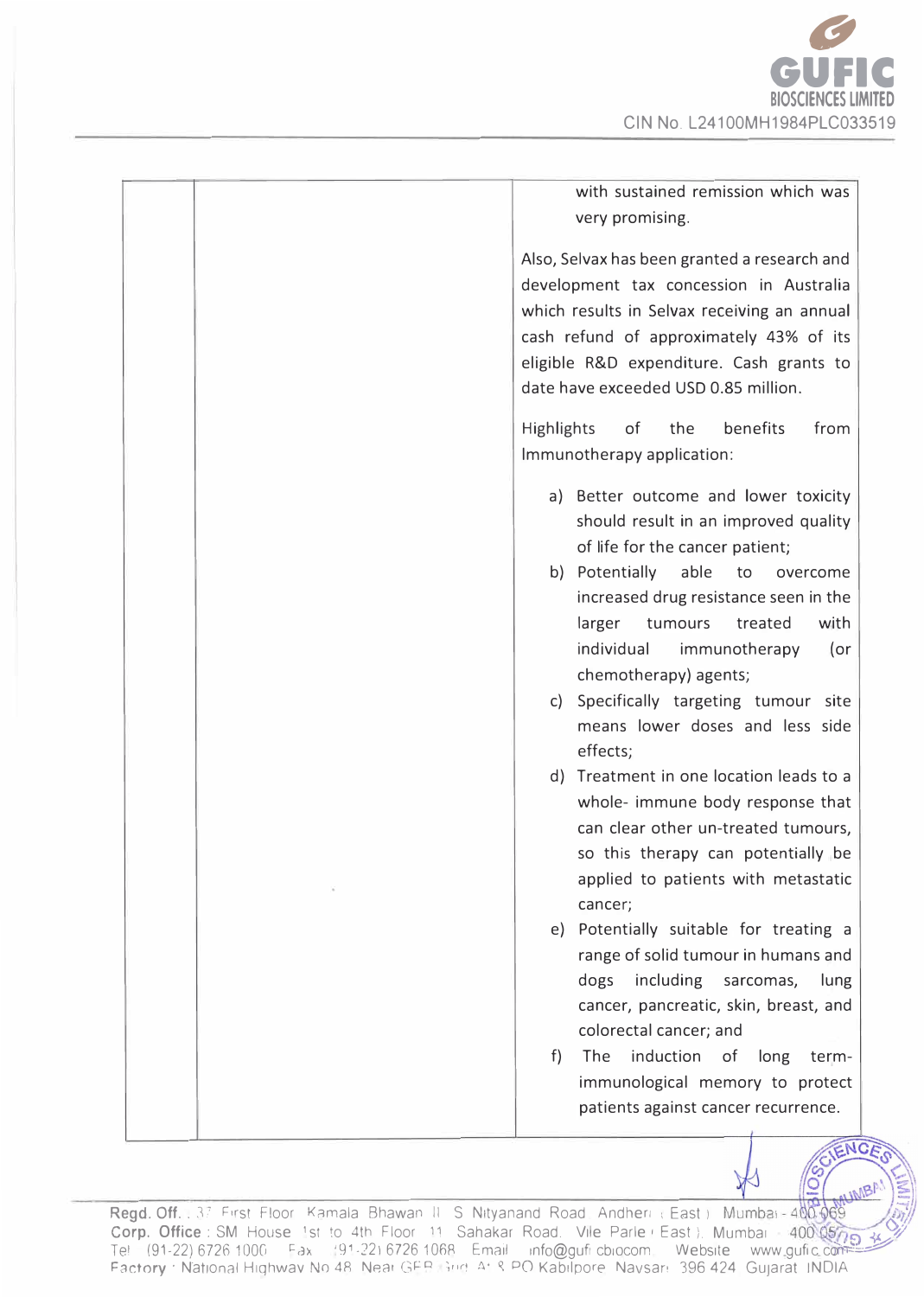

| with sustained remission which was<br>very promising.                                                                                                                                                                                                                                                                                                                                                                                                                                                                                                                                                                                                                                                                                                                                                                                                                                                                                   |
|-----------------------------------------------------------------------------------------------------------------------------------------------------------------------------------------------------------------------------------------------------------------------------------------------------------------------------------------------------------------------------------------------------------------------------------------------------------------------------------------------------------------------------------------------------------------------------------------------------------------------------------------------------------------------------------------------------------------------------------------------------------------------------------------------------------------------------------------------------------------------------------------------------------------------------------------|
| Also, Selvax has been granted a research and<br>development tax concession in Australia<br>which results in Selvax receiving an annual<br>cash refund of approximately 43% of its<br>eligible R&D expenditure. Cash grants to<br>date have exceeded USD 0.85 million.                                                                                                                                                                                                                                                                                                                                                                                                                                                                                                                                                                                                                                                                   |
| Highlights of the<br>benefits<br>from<br>Immunotherapy application:                                                                                                                                                                                                                                                                                                                                                                                                                                                                                                                                                                                                                                                                                                                                                                                                                                                                     |
| a) Better outcome and lower toxicity<br>should result in an improved quality<br>of life for the cancer patient;<br>b) Potentially<br>able<br>to<br>overcome<br>increased drug resistance seen in the<br>larger<br>treated<br>with<br>tumours<br>individual<br>immunotherapy<br>(or<br>chemotherapy) agents;<br>Specifically targeting tumour site<br>C)<br>means lower doses and less side<br>effects;<br>d) Treatment in one location leads to a<br>whole- immune body response that<br>can clear other un-treated tumours,<br>so this therapy can potentially be<br>applied to patients with metastatic<br>cancer;<br>e) Potentially suitable for treating a<br>range of solid tumour in humans and<br>dogs including sarcomas,<br>lung<br>cancer, pancreatic, skin, breast, and<br>colorectal cancer; and<br>induction<br>The<br>f)<br>long<br>of<br>term-<br>immunological memory to protect<br>patients against cancer recurrence. |
| ENC                                                                                                                                                                                                                                                                                                                                                                                                                                                                                                                                                                                                                                                                                                                                                                                                                                                                                                                                     |

**Regd. Off. .** 37 First Floor Kamala Bhawan II S Nityanand Road Andheri : East ). Mumbai - 400,069 (11)<br>Corp. Office : SM House 1st to 4th Floor 11 Sahakar Road. Vile Parle, East ). Mumbai - 400,05719 13 **Tel (91-22) 6726 1000** Fax ·91-22) 6726 1068 Email info@guficbiocom Website www.gufic.com **Factory · National Highwav No 48. Near GEB Grid, At R PO Kabilpore. Navsan 396 424. Gujarat INDIA**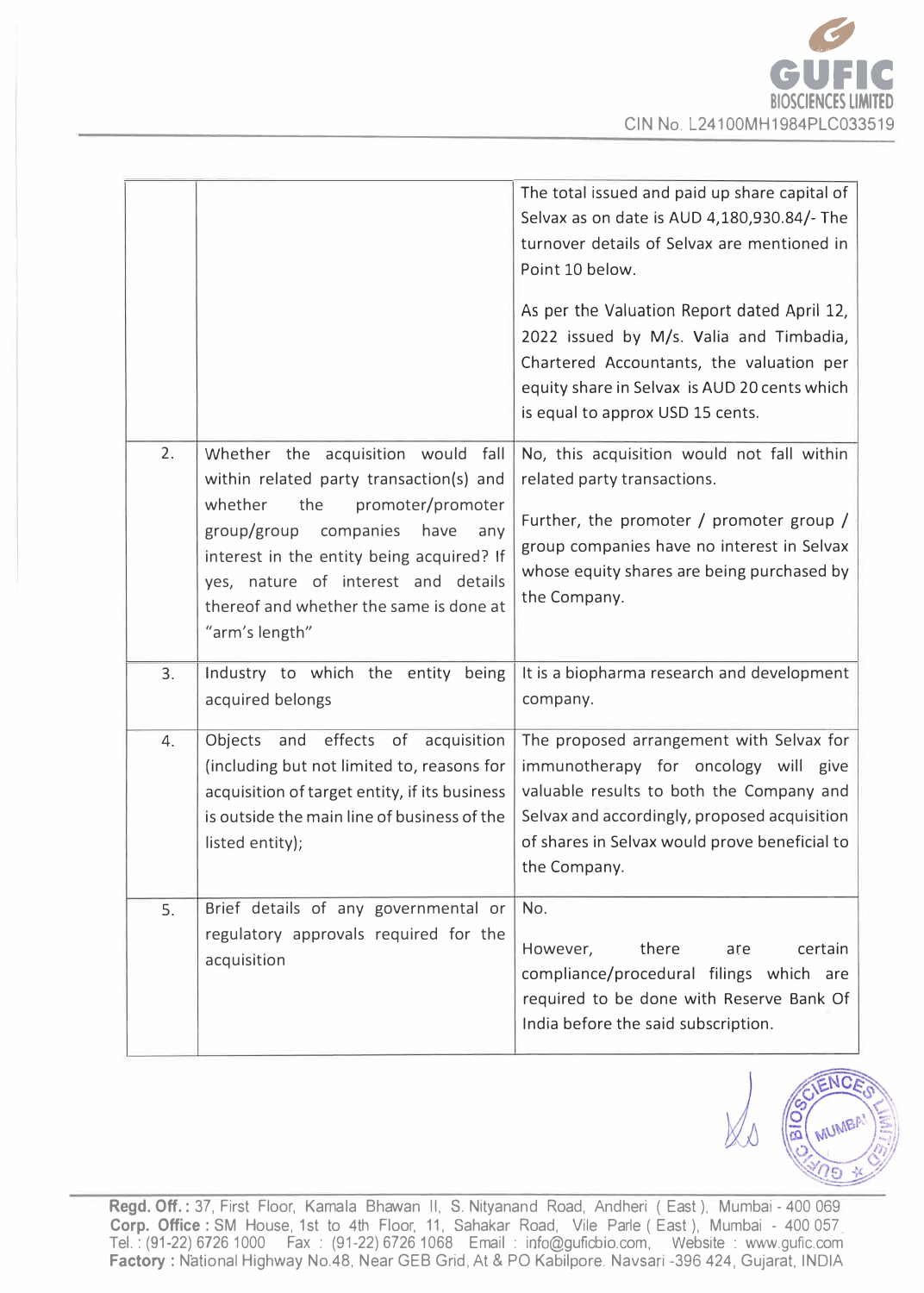

|    |                                                                                                                                                                                                                                                                                                               | The total issued and paid up share capital of<br>Selvax as on date is AUD 4,180,930.84/- The<br>turnover details of Selvax are mentioned in<br>Point 10 below.<br>As per the Valuation Report dated April 12,<br>2022 issued by M/s. Valia and Timbadia,<br>Chartered Accountants, the valuation per<br>equity share in Selvax is AUD 20 cents which<br>is equal to approx USD 15 cents. |
|----|---------------------------------------------------------------------------------------------------------------------------------------------------------------------------------------------------------------------------------------------------------------------------------------------------------------|------------------------------------------------------------------------------------------------------------------------------------------------------------------------------------------------------------------------------------------------------------------------------------------------------------------------------------------------------------------------------------------|
| 2. | Whether the acquisition would fall<br>within related party transaction(s) and<br>whether<br>the<br>promoter/promoter<br>group/group companies<br>have<br>any<br>interest in the entity being acquired? If<br>yes, nature of interest and details<br>thereof and whether the same is done at<br>"arm's length" | No, this acquisition would not fall within<br>related party transactions.<br>Further, the promoter / promoter group /<br>group companies have no interest in Selvax<br>whose equity shares are being purchased by<br>the Company.                                                                                                                                                        |
| 3. | Industry to which the entity being<br>acquired belongs                                                                                                                                                                                                                                                        | It is a biopharma research and development<br>company.                                                                                                                                                                                                                                                                                                                                   |
| 4. | effects of acquisition<br>Objects<br>and<br>(including but not limited to, reasons for<br>acquisition of target entity, if its business<br>is outside the main line of business of the<br>listed entity);                                                                                                     | The proposed arrangement with Selvax for<br>immunotherapy for oncology will give<br>valuable results to both the Company and<br>Selvax and accordingly, proposed acquisition<br>of shares in Selvax would prove beneficial to<br>the Company.                                                                                                                                            |
| 5. | Brief details of any governmental or<br>regulatory approvals required for the<br>acquisition                                                                                                                                                                                                                  | No.<br>there<br>However,<br>certain<br>are<br>compliance/procedural filings which are<br>required to be done with Reserve Bank Of<br>India before the said subscription.                                                                                                                                                                                                                 |



**Regd. Off.:** 37, First Floor, Kamala Bhawan II, S. Nityanand Road, Andheri ( East). Mumbai - 400 069. **Corp. Office** : SM House, 1st to 4th Floor, 11, Sahakar Road, Vile Parle ( East ), Mumbai - 400 057 Tel.: (91-22) 6726 1000 Fax : (91-22) 67261068 Email : info@guficbio.com, Website : www.gufic.com **Factory:** N"ational Highway No.48, Ne ar GEB Grid, At & PO Kabilpore. Navsari -396 424, Gujarat, INDIA